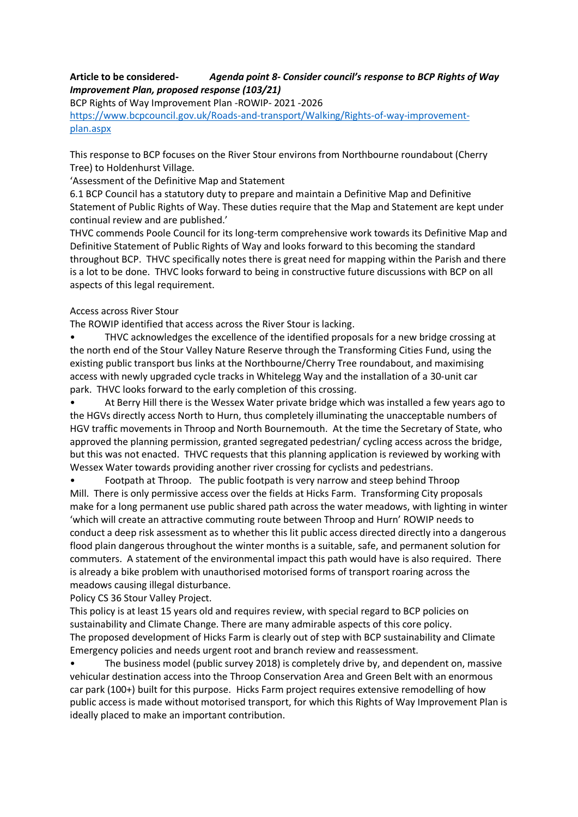## **Article to be considered-** *Agenda point 8- Consider council's response to BCP Rights of Way Improvement Plan, proposed response (103/21)*

BCP Rights of Way Improvement Plan -ROWIP- 2021 -2026 [https://www.bcpcouncil.gov.uk/Roads-and-transport/Walking/Rights-of-way-improvement](https://www.bcpcouncil.gov.uk/Roads-and-transport/Walking/Rights-of-way-improvement-plan.aspx)[plan.aspx](https://www.bcpcouncil.gov.uk/Roads-and-transport/Walking/Rights-of-way-improvement-plan.aspx)

This response to BCP focuses on the River Stour environs from Northbourne roundabout (Cherry Tree) to Holdenhurst Village.

'Assessment of the Definitive Map and Statement

6.1 BCP Council has a statutory duty to prepare and maintain a Definitive Map and Definitive Statement of Public Rights of Way. These duties require that the Map and Statement are kept under continual review and are published.'

THVC commends Poole Council for its long-term comprehensive work towards its Definitive Map and Definitive Statement of Public Rights of Way and looks forward to this becoming the standard throughout BCP. THVC specifically notes there is great need for mapping within the Parish and there is a lot to be done. THVC looks forward to being in constructive future discussions with BCP on all aspects of this legal requirement.

## Access across River Stour

The ROWIP identified that access across the River Stour is lacking.

• THVC acknowledges the excellence of the identified proposals for a new bridge crossing at the north end of the Stour Valley Nature Reserve through the Transforming Cities Fund, using the existing public transport bus links at the Northbourne/Cherry Tree roundabout, and maximising access with newly upgraded cycle tracks in Whitelegg Way and the installation of a 30-unit car park. THVC looks forward to the early completion of this crossing.

• At Berry Hill there is the Wessex Water private bridge which was installed a few years ago to the HGVs directly access North to Hurn, thus completely illuminating the unacceptable numbers of HGV traffic movements in Throop and North Bournemouth. At the time the Secretary of State, who approved the planning permission, granted segregated pedestrian/ cycling access across the bridge, but this was not enacted. THVC requests that this planning application is reviewed by working with Wessex Water towards providing another river crossing for cyclists and pedestrians.

• Footpath at Throop. The public footpath is very narrow and steep behind Throop Mill. There is only permissive access over the fields at Hicks Farm. Transforming City proposals make for a long permanent use public shared path across the water meadows, with lighting in winter 'which will create an attractive commuting route between Throop and Hurn' ROWIP needs to conduct a deep risk assessment as to whether this lit public access directed directly into a dangerous flood plain dangerous throughout the winter months is a suitable, safe, and permanent solution for commuters. A statement of the environmental impact this path would have is also required. There is already a bike problem with unauthorised motorised forms of transport roaring across the meadows causing illegal disturbance.

Policy CS 36 Stour Valley Project.

This policy is at least 15 years old and requires review, with special regard to BCP policies on sustainability and Climate Change. There are many admirable aspects of this core policy. The proposed development of Hicks Farm is clearly out of step with BCP sustainability and Climate Emergency policies and needs urgent root and branch review and reassessment.

• The business model (public survey 2018) is completely drive by, and dependent on, massive vehicular destination access into the Throop Conservation Area and Green Belt with an enormous car park (100+) built for this purpose. Hicks Farm project requires extensive remodelling of how public access is made without motorised transport, for which this Rights of Way Improvement Plan is ideally placed to make an important contribution.